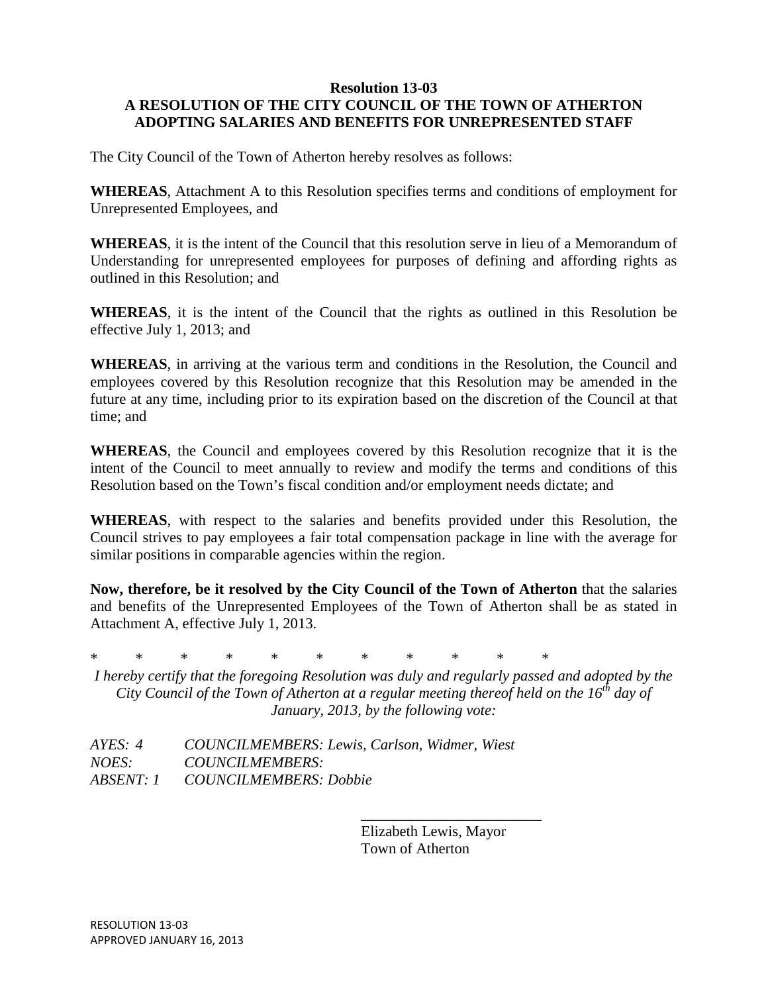### **Resolution 13-03 A RESOLUTION OF THE CITY COUNCIL OF THE TOWN OF ATHERTON ADOPTING SALARIES AND BENEFITS FOR UNREPRESENTED STAFF**

The City Council of the Town of Atherton hereby resolves as follows:

**WHEREAS**, Attachment A to this Resolution specifies terms and conditions of employment for Unrepresented Employees, and

**WHEREAS**, it is the intent of the Council that this resolution serve in lieu of a Memorandum of Understanding for unrepresented employees for purposes of defining and affording rights as outlined in this Resolution; and

**WHEREAS**, it is the intent of the Council that the rights as outlined in this Resolution be effective July 1, 2013; and

**WHEREAS**, in arriving at the various term and conditions in the Resolution, the Council and employees covered by this Resolution recognize that this Resolution may be amended in the future at any time, including prior to its expiration based on the discretion of the Council at that time; and

**WHEREAS**, the Council and employees covered by this Resolution recognize that it is the intent of the Council to meet annually to review and modify the terms and conditions of this Resolution based on the Town's fiscal condition and/or employment needs dictate; and

**WHEREAS**, with respect to the salaries and benefits provided under this Resolution, the Council strives to pay employees a fair total compensation package in line with the average for similar positions in comparable agencies within the region.

**Now, therefore, be it resolved by the City Council of the Town of Atherton** that the salaries and benefits of the Unrepresented Employees of the Town of Atherton shall be as stated in Attachment A, effective July 1, 2013.

\* \* \* \* \* \* \* \* \* \* \*

*I hereby certify that the foregoing Resolution was duly and regularly passed and adopted by the City Council of the Town of Atherton at a regular meeting thereof held on the 16th day of January, 2013, by the following vote:*

*AYES: 4 COUNCILMEMBERS: Lewis, Carlson, Widmer, Wiest NOES: COUNCILMEMBERS: ABSENT: 1 COUNCILMEMBERS: Dobbie*

> Elizabeth Lewis, Mayor Town of Atherton

\_\_\_\_\_\_\_\_\_\_\_\_\_\_\_\_\_\_\_\_\_\_\_\_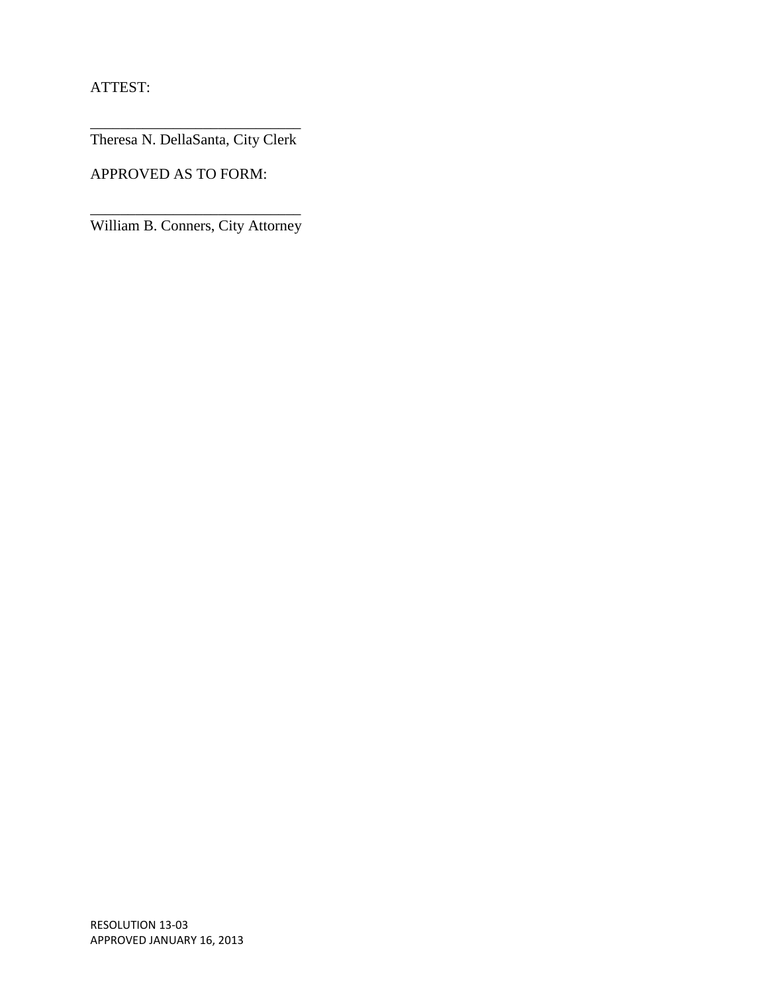ATTEST:

\_\_\_\_\_\_\_\_\_\_\_\_\_\_\_\_\_\_\_\_\_\_\_\_\_\_\_\_ Theresa N. DellaSanta, City Clerk

APPROVED AS TO FORM:

\_\_\_\_\_\_\_\_\_\_\_\_\_\_\_\_\_\_\_\_\_\_\_\_\_\_\_\_ William B. Conners, City Attorney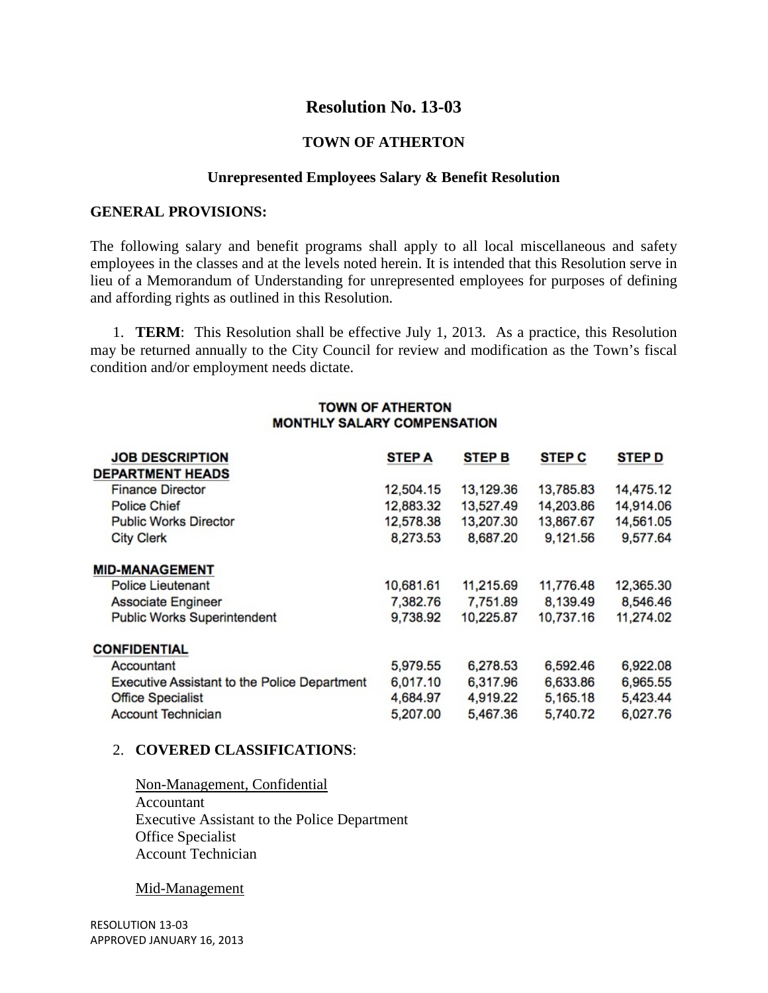# **Resolution No. 13-03**

### **TOWN OF ATHERTON**

### **Unrepresented Employees Salary & Benefit Resolution**

#### **GENERAL PROVISIONS:**

The following salary and benefit programs shall apply to all local miscellaneous and safety employees in the classes and at the levels noted herein. It is intended that this Resolution serve in lieu of a Memorandum of Understanding for unrepresented employees for purposes of defining and affording rights as outlined in this Resolution.

1. **TERM**: This Resolution shall be effective July 1, 2013. As a practice, this Resolution may be returned annually to the City Council for review and modification as the Town's fiscal condition and/or employment needs dictate.

### **TOWN OF ATHERTON MONTHLY SALARY COMPENSATION**

| <b>JOB DESCRIPTION</b>                              | <b>STEP A</b> | <b>STEP B</b> | <b>STEP C</b> | <b>STEP D</b> |
|-----------------------------------------------------|---------------|---------------|---------------|---------------|
| <b>DEPARTMENT HEADS</b>                             |               |               |               |               |
| <b>Finance Director</b>                             | 12,504.15     | 13,129.36     | 13,785.83     | 14,475.12     |
| <b>Police Chief</b>                                 | 12,883.32     | 13,527.49     | 14,203.86     | 14,914.06     |
| <b>Public Works Director</b>                        | 12,578.38     | 13,207.30     | 13,867.67     | 14,561.05     |
| <b>City Clerk</b>                                   | 8,273.53      | 8,687.20      | 9,121.56      | 9,577.64      |
| <b>MID-MANAGEMENT</b>                               |               |               |               |               |
| <b>Police Lieutenant</b>                            | 10,681.61     | 11,215.69     | 11,776.48     | 12,365.30     |
| <b>Associate Engineer</b>                           | 7,382.76      | 7,751.89      | 8,139.49      | 8,546.46      |
| <b>Public Works Superintendent</b>                  | 9,738.92      | 10,225.87     | 10,737.16     | 11,274.02     |
| <b>CONFIDENTIAL</b>                                 |               |               |               |               |
| Accountant                                          | 5,979.55      | 6,278.53      | 6,592.46      | 6,922.08      |
| <b>Executive Assistant to the Police Department</b> | 6,017.10      | 6,317.96      | 6,633.86      | 6,965.55      |
| <b>Office Specialist</b>                            | 4,684.97      | 4,919.22      | 5,165.18      | 5,423.44      |
| <b>Account Technician</b>                           | 5,207.00      | 5,467.36      | 5,740.72      | 6,027.76      |

#### 2. **COVERED CLASSIFICATIONS**:

Non-Management, Confidential Accountant Executive Assistant to the Police Department Office Specialist Account Technician

Mid-Management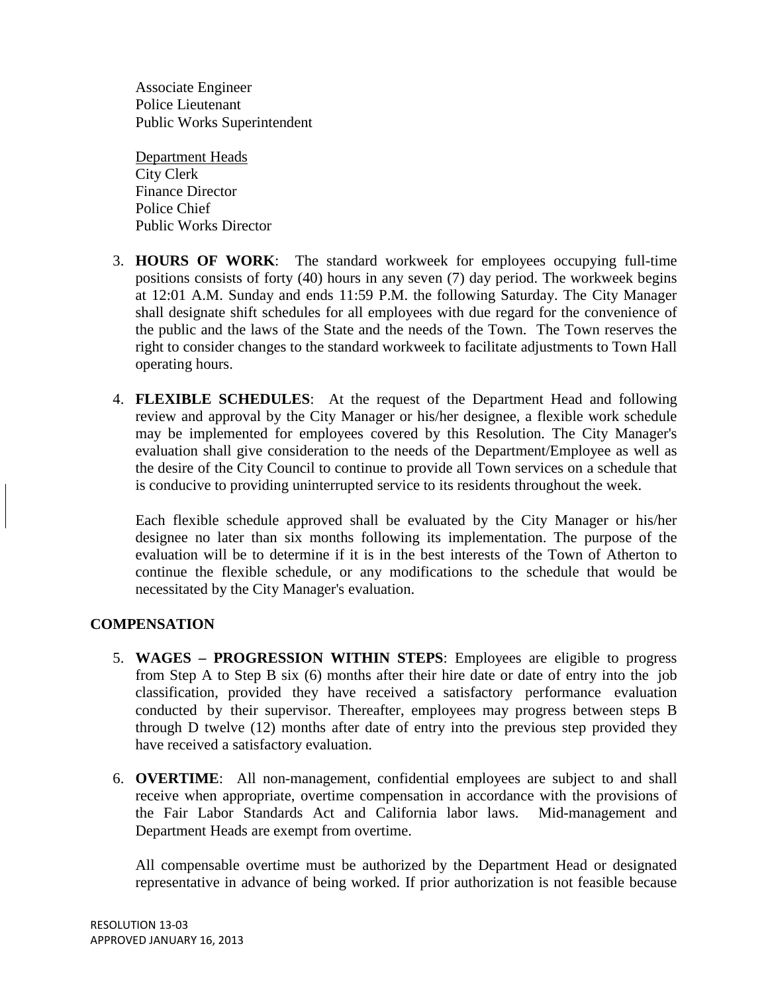Associate Engineer Police Lieutenant Public Works Superintendent

Department Heads City Clerk Finance Director Police Chief Public Works Director

- 3. **HOURS OF WORK**: The standard workweek for employees occupying full-time positions consists of forty (40) hours in any seven (7) day period. The workweek begins at 12:01 A.M. Sunday and ends 11:59 P.M. the following Saturday. The City Manager shall designate shift schedules for all employees with due regard for the convenience of the public and the laws of the State and the needs of the Town. The Town reserves the right to consider changes to the standard workweek to facilitate adjustments to Town Hall operating hours.
- 4. **FLEXIBLE SCHEDULES**: At the request of the Department Head and following review and approval by the City Manager or his/her designee, a flexible work schedule may be implemented for employees covered by this Resolution. The City Manager's evaluation shall give consideration to the needs of the Department/Employee as well as the desire of the City Council to continue to provide all Town services on a schedule that is conducive to providing uninterrupted service to its residents throughout the week.

Each flexible schedule approved shall be evaluated by the City Manager or his/her designee no later than six months following its implementation. The purpose of the evaluation will be to determine if it is in the best interests of the Town of Atherton to continue the flexible schedule, or any modifications to the schedule that would be necessitated by the City Manager's evaluation.

## **COMPENSATION**

- 5. **WAGES – PROGRESSION WITHIN STEPS**: Employees are eligible to progress from Step A to Step B six (6) months after their hire date or date of entry into the job classification, provided they have received a satisfactory performance evaluation conducted by their supervisor. Thereafter, employees may progress between steps B through D twelve (12) months after date of entry into the previous step provided they have received a satisfactory evaluation.
- 6. **OVERTIME**: All non-management, confidential employees are subject to and shall receive when appropriate, overtime compensation in accordance with the provisions of the Fair Labor Standards Act and California labor laws. Mid-management and Department Heads are exempt from overtime.

All compensable overtime must be authorized by the Department Head or designated representative in advance of being worked. If prior authorization is not feasible because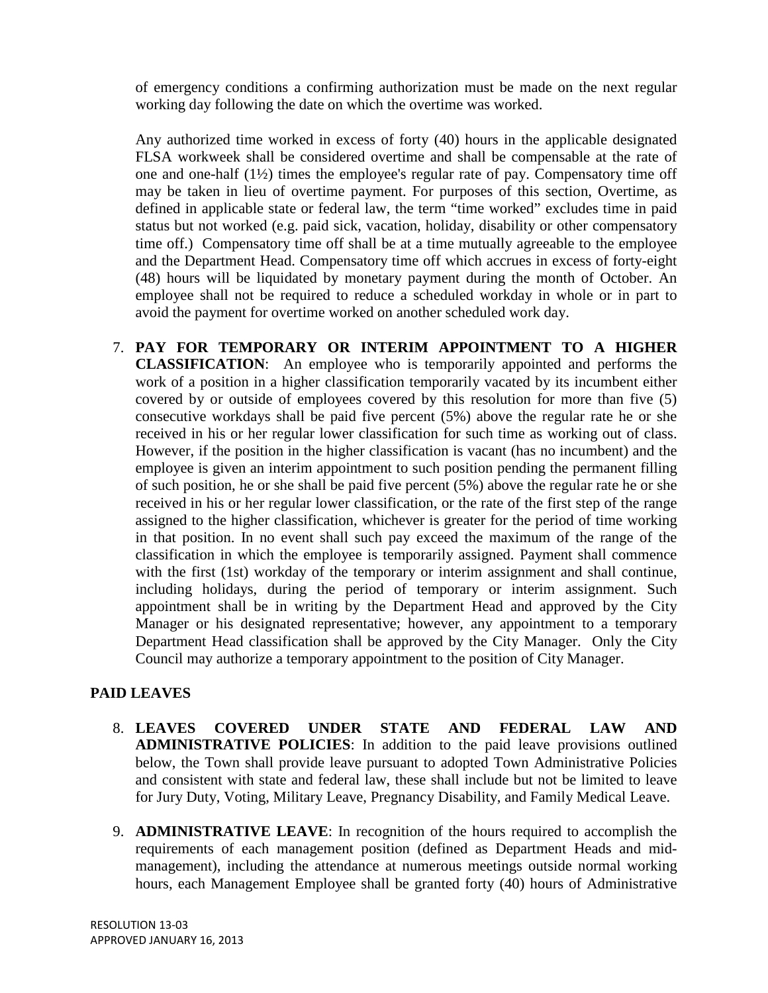of emergency conditions a confirming authorization must be made on the next regular working day following the date on which the overtime was worked.

Any authorized time worked in excess of forty (40) hours in the applicable designated FLSA workweek shall be considered overtime and shall be compensable at the rate of one and one-half (1½) times the employee's regular rate of pay. Compensatory time off may be taken in lieu of overtime payment. For purposes of this section, Overtime, as defined in applicable state or federal law, the term "time worked" excludes time in paid status but not worked (e.g. paid sick, vacation, holiday, disability or other compensatory time off.) Compensatory time off shall be at a time mutually agreeable to the employee and the Department Head. Compensatory time off which accrues in excess of forty-eight (48) hours will be liquidated by monetary payment during the month of October. An employee shall not be required to reduce a scheduled workday in whole or in part to avoid the payment for overtime worked on another scheduled work day.

7. **PAY FOR TEMPORARY OR INTERIM APPOINTMENT TO A HIGHER CLASSIFICATION**: An employee who is temporarily appointed and performs the work of a position in a higher classification temporarily vacated by its incumbent either covered by or outside of employees covered by this resolution for more than five (5) consecutive workdays shall be paid five percent (5%) above the regular rate he or she received in his or her regular lower classification for such time as working out of class. However, if the position in the higher classification is vacant (has no incumbent) and the employee is given an interim appointment to such position pending the permanent filling of such position, he or she shall be paid five percent (5%) above the regular rate he or she received in his or her regular lower classification, or the rate of the first step of the range assigned to the higher classification, whichever is greater for the period of time working in that position. In no event shall such pay exceed the maximum of the range of the classification in which the employee is temporarily assigned. Payment shall commence with the first (1st) workday of the temporary or interim assignment and shall continue, including holidays, during the period of temporary or interim assignment. Such appointment shall be in writing by the Department Head and approved by the City Manager or his designated representative; however, any appointment to a temporary Department Head classification shall be approved by the City Manager. Only the City Council may authorize a temporary appointment to the position of City Manager.

## **PAID LEAVES**

- 8. **LEAVES COVERED UNDER STATE AND FEDERAL LAW AND ADMINISTRATIVE POLICIES**: In addition to the paid leave provisions outlined below, the Town shall provide leave pursuant to adopted Town Administrative Policies and consistent with state and federal law, these shall include but not be limited to leave for Jury Duty, Voting, Military Leave, Pregnancy Disability, and Family Medical Leave.
- 9. **ADMINISTRATIVE LEAVE**: In recognition of the hours required to accomplish the requirements of each management position (defined as Department Heads and midmanagement), including the attendance at numerous meetings outside normal working hours, each Management Employee shall be granted forty (40) hours of Administrative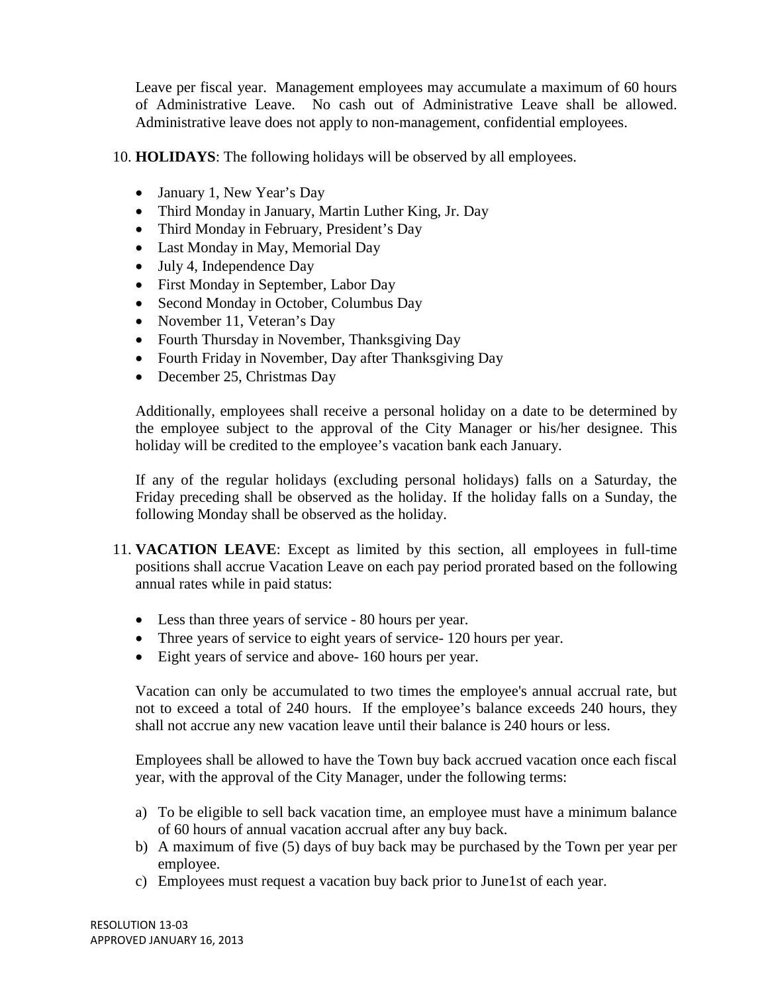Leave per fiscal year. Management employees may accumulate a maximum of 60 hours of Administrative Leave. No cash out of Administrative Leave shall be allowed. Administrative leave does not apply to non-management, confidential employees.

10. **HOLIDAYS**: The following holidays will be observed by all employees.

- January 1, New Year's Day
- Third Monday in January, Martin Luther King, Jr. Day
- Third Monday in February, President's Day
- Last Monday in May, Memorial Day
- July 4, Independence Day
- First Monday in September, Labor Day
- Second Monday in October, Columbus Day
- November 11, Veteran's Day
- Fourth Thursday in November, Thanksgiving Day
- Fourth Friday in November, Day after Thanksgiving Day
- December 25, Christmas Day

Additionally, employees shall receive a personal holiday on a date to be determined by the employee subject to the approval of the City Manager or his/her designee. This holiday will be credited to the employee's vacation bank each January.

If any of the regular holidays (excluding personal holidays) falls on a Saturday, the Friday preceding shall be observed as the holiday. If the holiday falls on a Sunday, the following Monday shall be observed as the holiday.

- 11. **VACATION LEAVE**: Except as limited by this section, all employees in full-time positions shall accrue Vacation Leave on each pay period prorated based on the following annual rates while in paid status:
	- Less than three years of service 80 hours per year.
	- Three years of service to eight years of service- 120 hours per year.
	- Eight years of service and above- 160 hours per year.

Vacation can only be accumulated to two times the employee's annual accrual rate, but not to exceed a total of 240 hours. If the employee's balance exceeds 240 hours, they shall not accrue any new vacation leave until their balance is 240 hours or less.

Employees shall be allowed to have the Town buy back accrued vacation once each fiscal year, with the approval of the City Manager, under the following terms:

- a) To be eligible to sell back vacation time, an employee must have a minimum balance of 60 hours of annual vacation accrual after any buy back.
- b) A maximum of five (5) days of buy back may be purchased by the Town per year per employee.
- c) Employees must request a vacation buy back prior to June1st of each year.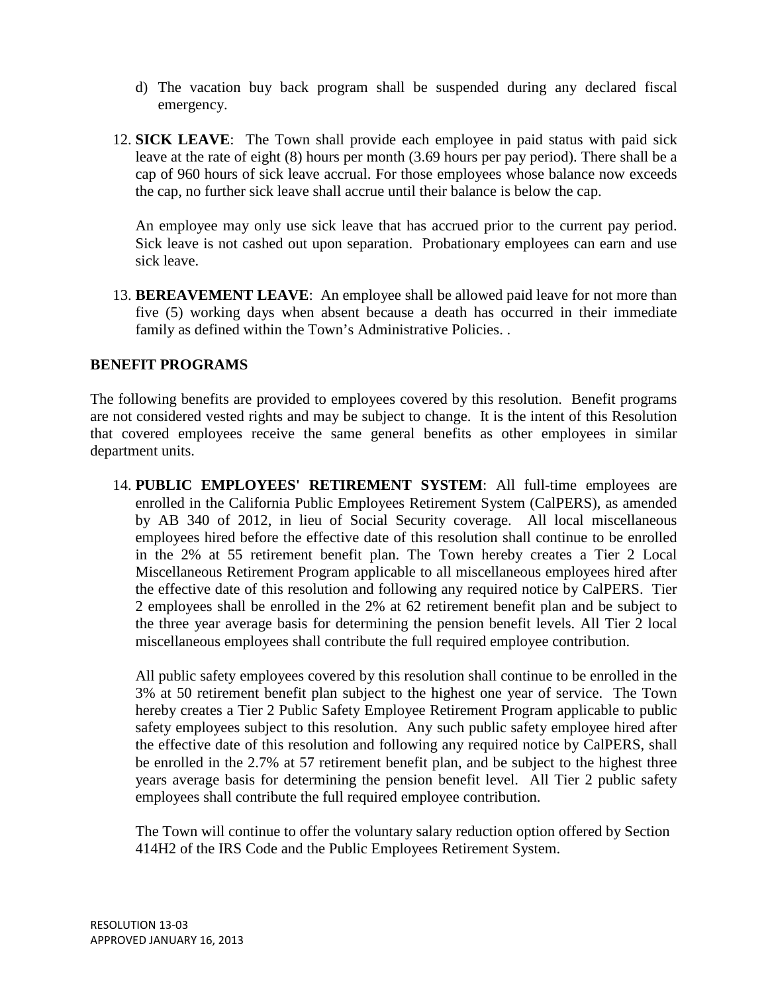- d) The vacation buy back program shall be suspended during any declared fiscal emergency.
- 12. **SICK LEAVE**: The Town shall provide each employee in paid status with paid sick leave at the rate of eight (8) hours per month (3.69 hours per pay period). There shall be a cap of 960 hours of sick leave accrual. For those employees whose balance now exceeds the cap, no further sick leave shall accrue until their balance is below the cap.

An employee may only use sick leave that has accrued prior to the current pay period. Sick leave is not cashed out upon separation. Probationary employees can earn and use sick leave.

13. **BEREAVEMENT LEAVE**: An employee shall be allowed paid leave for not more than five (5) working days when absent because a death has occurred in their immediate family as defined within the Town's Administrative Policies. .

### **BENEFIT PROGRAMS**

The following benefits are provided to employees covered by this resolution. Benefit programs are not considered vested rights and may be subject to change. It is the intent of this Resolution that covered employees receive the same general benefits as other employees in similar department units.

14. **PUBLIC EMPLOYEES' RETIREMENT SYSTEM**: All full-time employees are enrolled in the California Public Employees Retirement System (CalPERS), as amended by AB 340 of 2012, in lieu of Social Security coverage. All local miscellaneous employees hired before the effective date of this resolution shall continue to be enrolled in the 2% at 55 retirement benefit plan. The Town hereby creates a Tier 2 Local Miscellaneous Retirement Program applicable to all miscellaneous employees hired after the effective date of this resolution and following any required notice by CalPERS. Tier 2 employees shall be enrolled in the 2% at 62 retirement benefit plan and be subject to the three year average basis for determining the pension benefit levels. All Tier 2 local miscellaneous employees shall contribute the full required employee contribution.

All public safety employees covered by this resolution shall continue to be enrolled in the 3% at 50 retirement benefit plan subject to the highest one year of service. The Town hereby creates a Tier 2 Public Safety Employee Retirement Program applicable to public safety employees subject to this resolution. Any such public safety employee hired after the effective date of this resolution and following any required notice by CalPERS, shall be enrolled in the 2.7% at 57 retirement benefit plan, and be subject to the highest three years average basis for determining the pension benefit level. All Tier 2 public safety employees shall contribute the full required employee contribution.

The Town will continue to offer the voluntary salary reduction option offered by Section 414H2 of the IRS Code and the Public Employees Retirement System.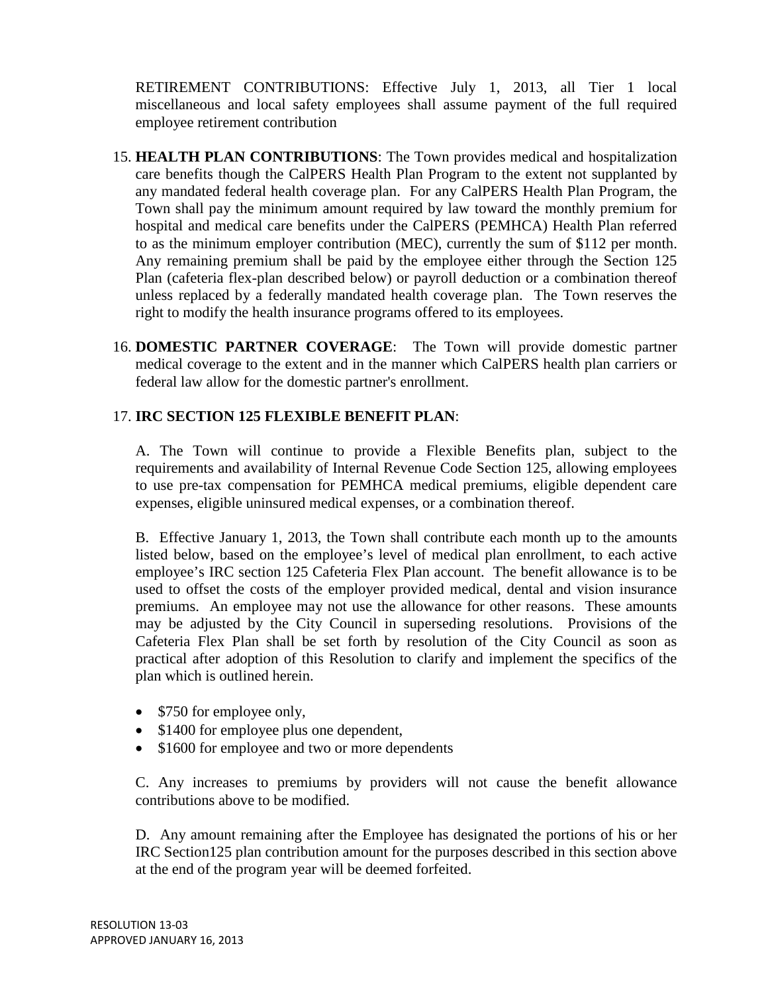RETIREMENT CONTRIBUTIONS: Effective July 1, 2013, all Tier 1 local miscellaneous and local safety employees shall assume payment of the full required employee retirement contribution

- 15. **HEALTH PLAN CONTRIBUTIONS**: The Town provides medical and hospitalization care benefits though the CalPERS Health Plan Program to the extent not supplanted by any mandated federal health coverage plan. For any CalPERS Health Plan Program, the Town shall pay the minimum amount required by law toward the monthly premium for hospital and medical care benefits under the CalPERS (PEMHCA) Health Plan referred to as the minimum employer contribution (MEC), currently the sum of \$112 per month. Any remaining premium shall be paid by the employee either through the Section 125 Plan (cafeteria flex-plan described below) or payroll deduction or a combination thereof unless replaced by a federally mandated health coverage plan. The Town reserves the right to modify the health insurance programs offered to its employees.
- 16. **DOMESTIC PARTNER COVERAGE**: The Town will provide domestic partner medical coverage to the extent and in the manner which CalPERS health plan carriers or federal law allow for the domestic partner's enrollment.

## 17. **IRC SECTION 125 FLEXIBLE BENEFIT PLAN**:

A. The Town will continue to provide a Flexible Benefits plan, subject to the requirements and availability of Internal Revenue Code Section 125, allowing employees to use pre-tax compensation for PEMHCA medical premiums, eligible dependent care expenses, eligible uninsured medical expenses, or a combination thereof.

B. Effective January 1, 2013, the Town shall contribute each month up to the amounts listed below, based on the employee's level of medical plan enrollment, to each active employee's IRC section 125 Cafeteria Flex Plan account. The benefit allowance is to be used to offset the costs of the employer provided medical, dental and vision insurance premiums. An employee may not use the allowance for other reasons. These amounts may be adjusted by the City Council in superseding resolutions. Provisions of the Cafeteria Flex Plan shall be set forth by resolution of the City Council as soon as practical after adoption of this Resolution to clarify and implement the specifics of the plan which is outlined herein.

- \$750 for employee only,
- \$1400 for employee plus one dependent,
- \$1600 for employee and two or more dependents

C. Any increases to premiums by providers will not cause the benefit allowance contributions above to be modified.

D. Any amount remaining after the Employee has designated the portions of his or her IRC Section125 plan contribution amount for the purposes described in this section above at the end of the program year will be deemed forfeited.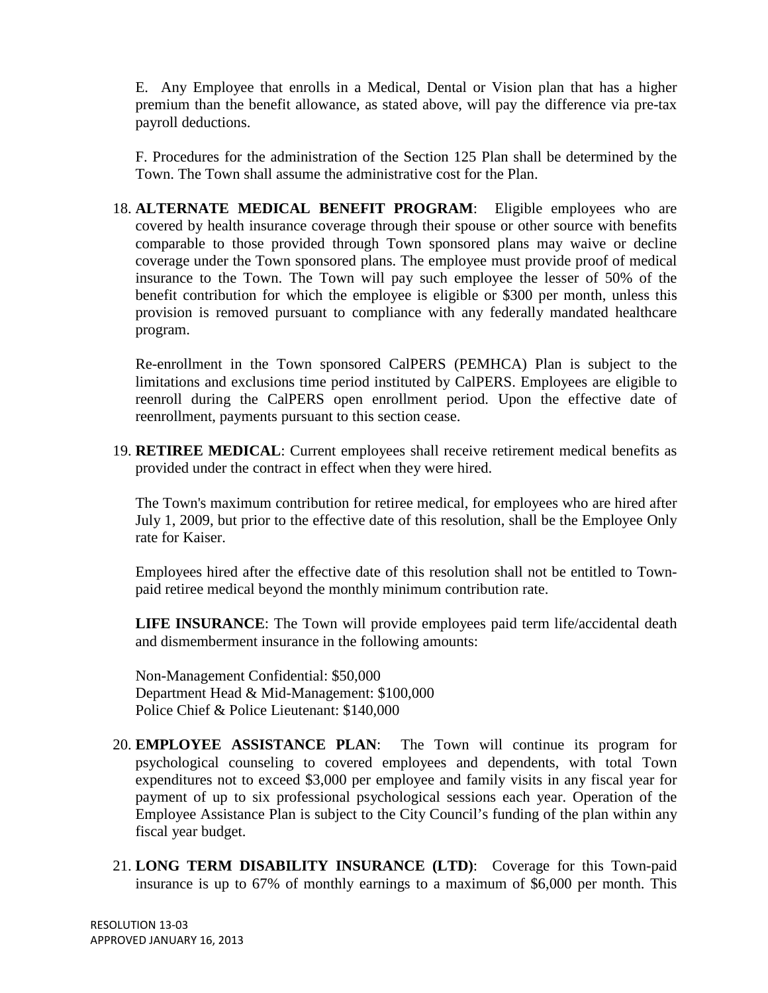E. Any Employee that enrolls in a Medical, Dental or Vision plan that has a higher premium than the benefit allowance, as stated above, will pay the difference via pre-tax payroll deductions.

F. Procedures for the administration of the Section 125 Plan shall be determined by the Town. The Town shall assume the administrative cost for the Plan.

18. **ALTERNATE MEDICAL BENEFIT PROGRAM**: Eligible employees who are covered by health insurance coverage through their spouse or other source with benefits comparable to those provided through Town sponsored plans may waive or decline coverage under the Town sponsored plans. The employee must provide proof of medical insurance to the Town. The Town will pay such employee the lesser of 50% of the benefit contribution for which the employee is eligible or \$300 per month, unless this provision is removed pursuant to compliance with any federally mandated healthcare program.

Re-enrollment in the Town sponsored CalPERS (PEMHCA) Plan is subject to the limitations and exclusions time period instituted by CalPERS. Employees are eligible to reenroll during the CalPERS open enrollment period. Upon the effective date of reenrollment, payments pursuant to this section cease.

19. **RETIREE MEDICAL**: Current employees shall receive retirement medical benefits as provided under the contract in effect when they were hired.

The Town's maximum contribution for retiree medical, for employees who are hired after July 1, 2009, but prior to the effective date of this resolution, shall be the Employee Only rate for Kaiser.

Employees hired after the effective date of this resolution shall not be entitled to Townpaid retiree medical beyond the monthly minimum contribution rate.

**LIFE INSURANCE**: The Town will provide employees paid term life/accidental death and dismemberment insurance in the following amounts:

Non-Management Confidential: \$50,000 Department Head & Mid-Management: \$100,000 Police Chief & Police Lieutenant: \$140,000

- 20. **EMPLOYEE ASSISTANCE PLAN**: The Town will continue its program for psychological counseling to covered employees and dependents, with total Town expenditures not to exceed \$3,000 per employee and family visits in any fiscal year for payment of up to six professional psychological sessions each year. Operation of the Employee Assistance Plan is subject to the City Council's funding of the plan within any fiscal year budget.
- 21. **LONG TERM DISABILITY INSURANCE (LTD)**: Coverage for this Town-paid insurance is up to 67% of monthly earnings to a maximum of \$6,000 per month. This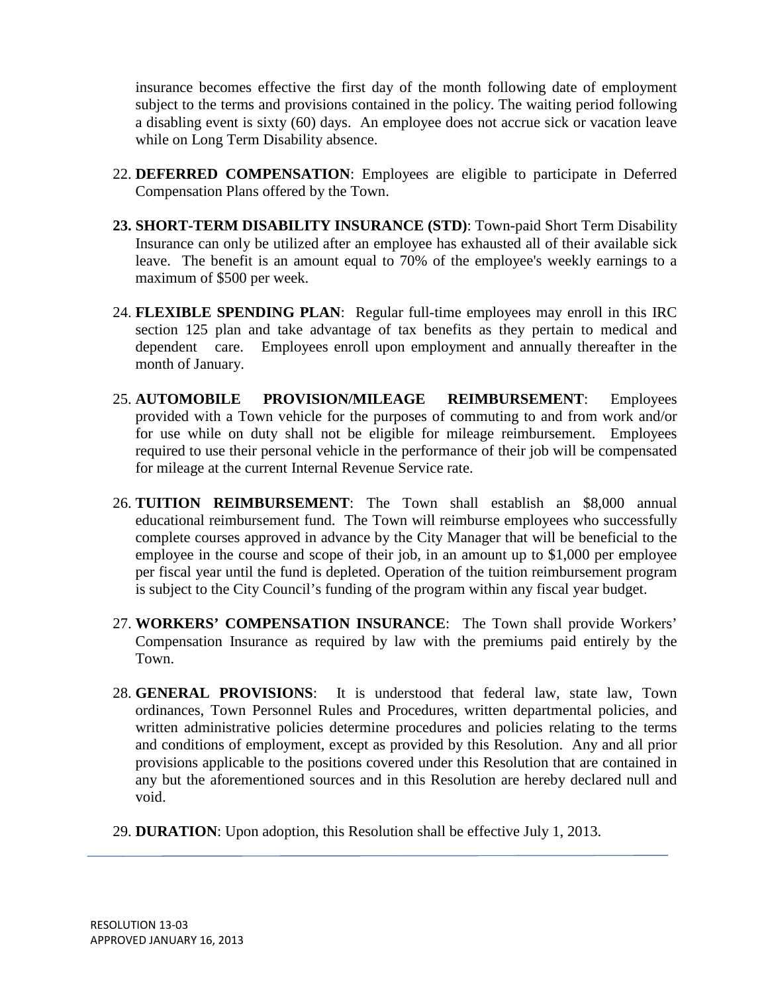insurance becomes effective the first day of the month following date of employment subject to the terms and provisions contained in the policy. The waiting period following a disabling event is sixty (60) days. An employee does not accrue sick or vacation leave while on Long Term Disability absence.

- 22. **DEFERRED COMPENSATION**: Employees are eligible to participate in Deferred Compensation Plans offered by the Town.
- **23. SHORT-TERM DISABILITY INSURANCE (STD)**: Town-paid Short Term Disability Insurance can only be utilized after an employee has exhausted all of their available sick leave. The benefit is an amount equal to 70% of the employee's weekly earnings to a maximum of \$500 per week.
- 24. **FLEXIBLE SPENDING PLAN**: Regular full-time employees may enroll in this IRC section 125 plan and take advantage of tax benefits as they pertain to medical and dependent care. Employees enroll upon employment and annually thereafter in the month of January.
- 25. **AUTOMOBILE PROVISION/MILEAGE REIMBURSEMENT**: Employees provided with a Town vehicle for the purposes of commuting to and from work and/or for use while on duty shall not be eligible for mileage reimbursement. Employees required to use their personal vehicle in the performance of their job will be compensated for mileage at the current Internal Revenue Service rate.
- 26. **TUITION REIMBURSEMENT**: The Town shall establish an \$8,000 annual educational reimbursement fund. The Town will reimburse employees who successfully complete courses approved in advance by the City Manager that will be beneficial to the employee in the course and scope of their job, in an amount up to \$1,000 per employee per fiscal year until the fund is depleted. Operation of the tuition reimbursement program is subject to the City Council's funding of the program within any fiscal year budget.
- 27. **WORKERS' COMPENSATION INSURANCE**: The Town shall provide Workers' Compensation Insurance as required by law with the premiums paid entirely by the Town.
- 28. **GENERAL PROVISIONS**: It is understood that federal law, state law, Town ordinances, Town Personnel Rules and Procedures, written departmental policies, and written administrative policies determine procedures and policies relating to the terms and conditions of employment, except as provided by this Resolution. Any and all prior provisions applicable to the positions covered under this Resolution that are contained in any but the aforementioned sources and in this Resolution are hereby declared null and void.
- 29. **DURATION**: Upon adoption, this Resolution shall be effective July 1, 2013.